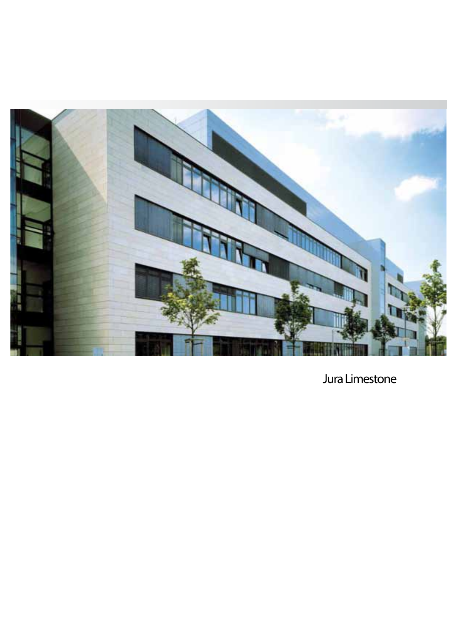

**Jura Limestone**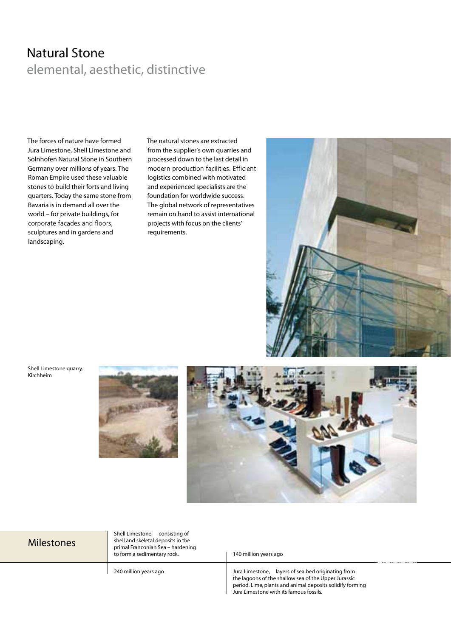# **Natural Stone**  elemental, aesthetic, distinctive

The forces of nature have formed Jura Limestone, Shell Limestone and Solnhofen Natural Stone in Southern Germany over millions of years. The Roman Empire used these valuable stones to build their forts and living quarters. Today the same stone from Bavaria is in demand all over the world – for private buildings, for corporate facades and floors, sculptures and in gardens and landscaping.

The natural stones are extracted from the supplier's own quarries and processed down to the last detail in modern production facilities. Efficient logistics combined with motivated and experienced specialists are the foundation for worldwide success. The global network of representatives remain on hand to assist international projects with focus on the clients' requirements.



**Shell Limestone quarry, Kirchheim**





#### **Milestones**

**Shell Limestone,** consisting of shell and skeletal deposits in the primal Franconian Sea – hardening to form a sedimentary rock.

**240 million years ago**

**140 million years ago**

**Jura Limestone,** layers of sea bed originating from the lagoons of the shallow sea of the Upper Jurassic period. Lime, plants and animal deposits solidify forming Jura Limestone with its famous fossils.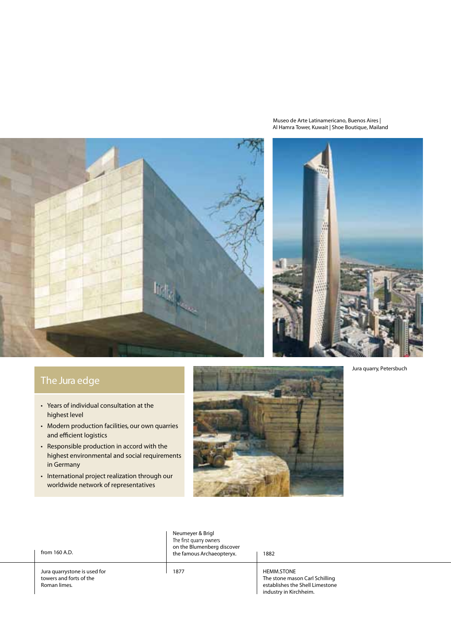**Museo de Arte Latinamericano, Buenos Aires | Al Hamra Tower, Kuwait | Shoe Boutique, Mailand**



## **The Jura edge**

- Years of individual consultation at the highest level
- Modern production facilities, our own quarries and efficient logistics
- Responsible production in accord with the highest environmental and social requirements in Germany
- International project realization through our worldwide network of representatives



| from 160 A.D.                                                           | Neumeyer & Brigl<br>The first quarry owners<br>on the Blumenberg discover<br>the famous Archaeopteryx. | 1882                                                                                                             |
|-------------------------------------------------------------------------|--------------------------------------------------------------------------------------------------------|------------------------------------------------------------------------------------------------------------------|
| Jura quarrystone is used for<br>towers and forts of the<br>Roman limes. | 1877                                                                                                   | <b>HEMM.STONE</b><br>The stone mason Carl Schilling<br>establishes the Shell Limestone<br>industry in Kirchheim. |

**Jura quarry, Petersbuch**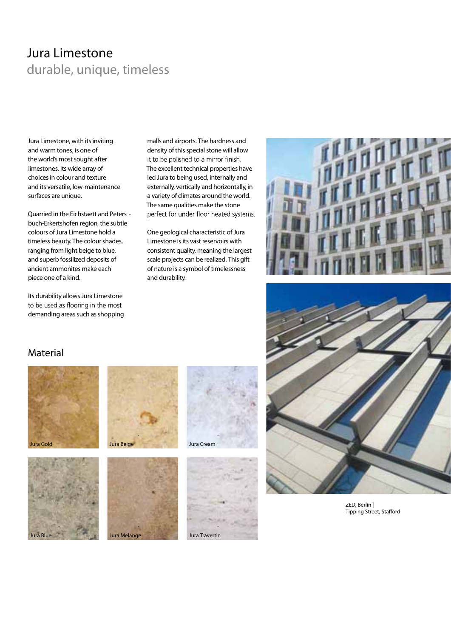# **Jura Limestone** durable, unique, timeless

**Jura Limestone, with its inviting and warm tones, is one of the world's most sought after limestones. Its wide array of choices in colour and texture and its versatile, low-maintenance surfaces are unique.** 

Quarried in the Eichstaett and Peters buch-Erkertshofen region, the subtle colours of Jura Limestone hold a timeless beauty. The colour shades, ranging from light beige to blue, and superb fossilized deposits of ancient ammonites make each piece one of a kind.

Its durability allows Jura Limestone to be used as flooring in the most demanding areas such as shopping

malls and airports. The hardness and density of this special stone will allow it to be polished to a mirror finish. The excellent technical properties have led Jura to being used, internally and externally, vertically and horizontally, in a variety of climates around the world. The same qualities make the stone perfect for under floor heated systems.

One geological characteristic of Jura Limestone is its vast reservoirs with consistent quality, meaning the largest scale projects can be realized. This gift of nature is a symbol of timelessness and durability.





**ZED, Berlin | Tipping Street, Stafford** 

### **Material**







**®** 

**Jura Melange**